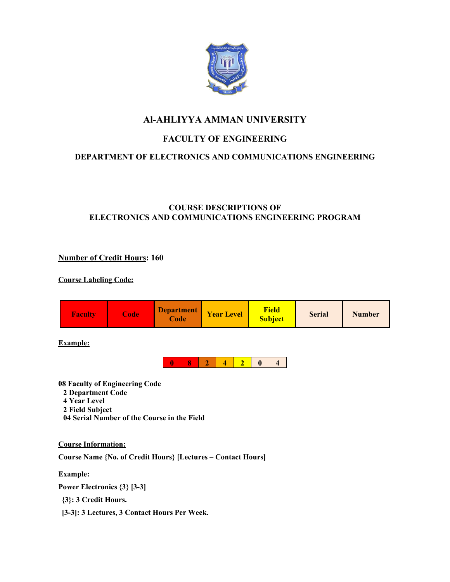

# **Al-AHLIYYA AMMAN UNIVERSITY**

# **FACULTY OF ENGINEERING**

# **DEPARTMENT OF ELECTRONICS AND COMMUNICATIONS ENGINEERING**

# **COURSE DESCRIPTIONS OF ELECTRONICS AND COMMUNICATIONS ENGINEERING PROGRAM**

# **Number of Credit Hours: 160**

# **Course Labeling Code:**



**Example:**



**08 Faculty of Engineering Code**

- **2 Department Code**
- **4 Year Level**
- **2 Field Subject**
- **04 Serial Number of the Course in the Field**

# **Course Information:**

**Course Name {No. of Credit Hours} [Lectures – Contact Hours]**

**Example:**

**Power Electronics {3} [3-3]**

**{3}: 3 Credit Hours.**

**[3-3]: 3 Lectures, 3 Contact Hours Per Week.**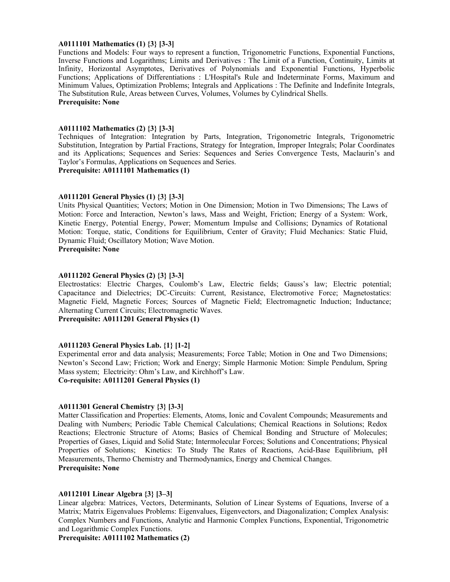#### **A0111101 Mathematics (1) {3} [3-3]**

Functions and Models: Four ways to represent a function, Trigonometric Functions, Exponential Functions, Inverse Functions and Logarithms; Limits and Derivatives : The Limit of a Function, Continuity, Limits at Infinity, Horizontal Asymptotes, Derivatives of Polynomials and Exponential Functions, Hyperbolic Functions; Applications of Differentiations : L'Hospital's Rule and Indeterminate Forms, Maximum and Minimum Values, Optimization Problems; Integrals and Applications : The Definite and Indefinite Integrals, The Substitution Rule, Areas between Curves, Volumes, Volumes by Cylindrical Shells. **Prerequisite: None** 

#### **A0111102 Mathematics (2) {3} [3-3]**

Techniques of Integration: Integration by Parts, Integration, Trigonometric Integrals, Trigonometric Substitution, Integration by Partial Fractions, Strategy for Integration, Improper Integrals; Polar Coordinates and its Applications; Sequences and Series: Sequences and Series Convergence Tests, Maclaurin's and Taylor's Formulas, Applications on Sequences and Series.

**Prerequisite: A0111101 Mathematics (1)** 

#### **A0111201 General Physics (1) {3} [3-3]**

Units Physical Quantities; Vectors; Motion in One Dimension; Motion in Two Dimensions; The Laws of Motion: Force and Interaction, Newton's laws, Mass and Weight, Friction; Energy of a System: Work, Kinetic Energy, Potential Energy, Power; Momentum Impulse and Collisions; Dynamics of Rotational Motion: Torque, static, Conditions for Equilibrium, Center of Gravity; Fluid Mechanics: Static Fluid, Dynamic Fluid; Oscillatory Motion; Wave Motion.

**Prerequisite: None** 

#### **A0111202 General Physics (2) {3} [3-3]**

Electrostatics: Electric Charges, Coulomb's Law, Electric fields; Gauss's law; Electric potential; Capacitance and Dielectrics; DC-Circuits: Current, Resistance, Electromotive Force; Magnetostatics: Magnetic Field, Magnetic Forces; Sources of Magnetic Field; Electromagnetic Induction; Inductance; Alternating Current Circuits; Electromagnetic Waves.

**Prerequisite: A0111201 General Physics (1)** 

#### **A0111203 General Physics Lab. {1} [1-2]**

Experimental error and data analysis; Measurements; Force Table; Motion in One and Two Dimensions; Newton's Second Law; Friction; Work and Energy; Simple Harmonic Motion: Simple Pendulum, Spring Mass system; Electricity: Ohm's Law, and Kirchhoff's Law.

**Co-requisite: A0111201 General Physics (1)** 

#### **A0111301 General Chemistry {3} [3-3]**

Matter Classification and Properties: Elements, Atoms, Ionic and Covalent Compounds; Measurements and Dealing with Numbers; Periodic Table Chemical Calculations; Chemical Reactions in Solutions; Redox Reactions; Electronic Structure of Atoms; Basics of Chemical Bonding and Structure of Molecules; Properties of Gases, Liquid and Solid State; Intermolecular Forces; Solutions and Concentrations; Physical Properties of Solutions; Kinetics: To Study The Rates of Reactions, Acid-Base Equilibrium, pH Measurements, Thermo Chemistry and Thermodynamics, Energy and Chemical Changes. **Prerequisite: None** 

#### **A0112101 Linear Algebra {3} [3–3]**

Linear algebra: Matrices, Vectors, Determinants, Solution of Linear Systems of Equations, Inverse of a Matrix; Matrix Eigenvalues Problems: Eigenvalues, Eigenvectors, and Diagonalization; Complex Analysis: Complex Numbers and Functions, Analytic and Harmonic Complex Functions, Exponential, Trigonometric and Logarithmic Complex Functions.

**Prerequisite: A0111102 Mathematics (2)**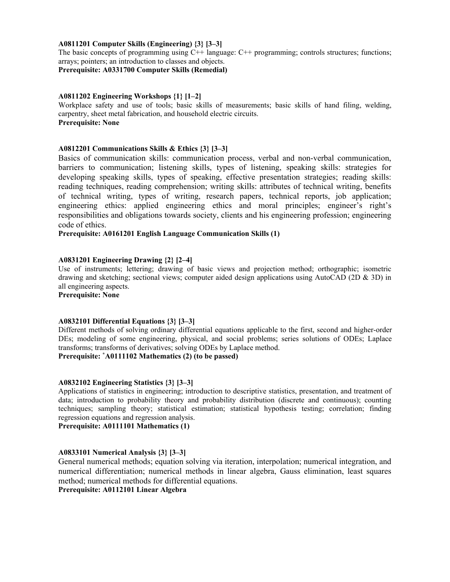# **A0811201 Computer Skills (Engineering) {3} [3–3]**

The basic concepts of programming using C++ language: C++ programming; controls structures; functions; arrays; pointers; an introduction to classes and objects.

**Prerequisite: A0331700 Computer Skills (Remedial)** 

# **A0811202 Engineering Workshops {1} [1–2]**

Workplace safety and use of tools; basic skills of measurements; basic skills of hand filing, welding, carpentry, sheet metal fabrication, and household electric circuits. **Prerequisite: None** 

# **A0812201 Communications Skills & Ethics {3} [3–3]**

Basics of communication skills: communication process, verbal and non-verbal communication, barriers to communication; listening skills, types of listening, speaking skills: strategies for developing speaking skills, types of speaking, effective presentation strategies; reading skills: reading techniques, reading comprehension; writing skills: attributes of technical writing, benefits of technical writing, types of writing, research papers, technical reports, job application; engineering ethics: applied engineering ethics and moral principles; engineer's right's responsibilities and obligations towards society, clients and his engineering profession; engineering code of ethics.

**Prerequisite: A0161201 English Language Communication Skills (1)** 

# **A0831201 Engineering Drawing {2} [2–4]**

Use of instruments; lettering; drawing of basic views and projection method; orthographic; isometric drawing and sketching; sectional views; computer aided design applications using AutoCAD (2D & 3D) in all engineering aspects.

**Prerequisite: None** 

# **A0832101 Differential Equations {3} [3–3]**

Different methods of solving ordinary differential equations applicable to the first, second and higher-order DEs; modeling of some engineering, physical, and social problems; series solutions of ODEs; Laplace transforms; transforms of derivatives; solving ODEs by Laplace method.

**Prerequisite: \* A0111102 Mathematics (2) (to be passed)**

# **A0832102 Engineering Statistics {3} [3–3]**

Applications of statistics in engineering; introduction to descriptive statistics, presentation, and treatment of data; introduction to probability theory and probability distribution (discrete and continuous); counting techniques; sampling theory; statistical estimation; statistical hypothesis testing; correlation; finding regression equations and regression analysis.

**Prerequisite: A0111101 Mathematics (1)** 

# **A0833101 Numerical Analysis {3} [3–3]**

General numerical methods; equation solving via iteration, interpolation; numerical integration, and numerical differentiation; numerical methods in linear algebra, Gauss elimination, least squares method; numerical methods for differential equations.

**Prerequisite: A0112101 Linear Algebra**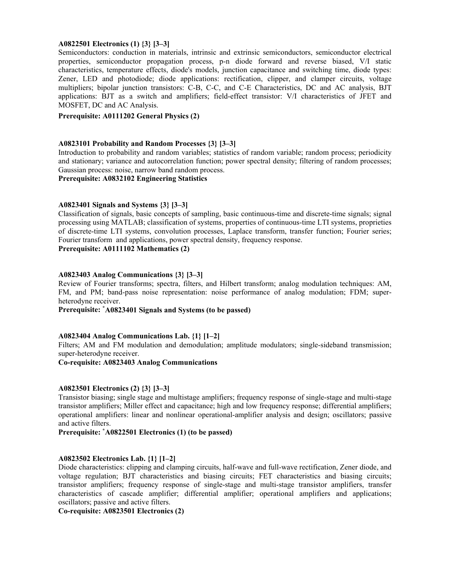## **A0822501 Electronics (1) {3} [3–3]**

Semiconductors: conduction in materials, intrinsic and extrinsic semiconductors, semiconductor electrical properties, semiconductor propagation process, p-n diode forward and reverse biased, V/I static characteristics, temperature effects, diode's models, junction capacitance and switching time, diode types: Zener, LED and photodiode; diode applications: rectification, clipper, and clamper circuits, voltage multipliers; bipolar junction transistors: C-B, C-C, and C-E Characteristics, DC and AC analysis, BJT applications: BJT as a switch and amplifiers; field-effect transistor: V/I characteristics of JFET and MOSFET, DC and AC Analysis.

#### **Prerequisite: A0111202 General Physics (2)**

### **A0823101 Probability and Random Processes {3} [3–3]**

Introduction to probability and random variables; statistics of random variable; random process; periodicity and stationary; variance and autocorrelation function; power spectral density; filtering of random processes; Gaussian process: noise, narrow band random process.

**Prerequisite: A0832102 Engineering Statistics** 

# **A0823401 Signals and Systems {3} [3–3]**

Classification of signals, basic concepts of sampling, basic continuous-time and discrete-time signals; signal processing using MATLAB; classification of systems, properties of continuous-time LTI systems, proprieties of discrete-time LTI systems, convolution processes, Laplace transform, transfer function; Fourier series; Fourier transform and applications, power spectral density, frequency response.

**Prerequisite: A0111102 Mathematics (2)** 

## **A0823403 Analog Communications {3} [3–3]**

Review of Fourier transforms; spectra, filters, and Hilbert transform; analog modulation techniques: AM, FM, and PM; band-pass noise representation: noise performance of analog modulation; FDM; superheterodyne receiver.

**Prerequisite: \* A0823401 Signals and Systems (to be passed)** 

#### **A0823404 Analog Communications Lab. {1} [1–2]**

Filters; AM and FM modulation and demodulation; amplitude modulators; single-sideband transmission; super-heterodyne receiver.

#### **Co-requisite: A0823403 Analog Communications**

#### **A0823501 Electronics (2) {3} [3–3]**

Transistor biasing; single stage and multistage amplifiers; frequency response of single-stage and multi-stage transistor amplifiers; Miller effect and capacitance; high and low frequency response; differential amplifiers; operational amplifiers: linear and nonlinear operational-amplifier analysis and design; oscillators; passive and active filters.

**Prerequisite: \* A0822501 Electronics (1) (to be passed)**

#### **A0823502 Electronics Lab. {1} [1–2]**

Diode characteristics: clipping and clamping circuits, half-wave and full-wave rectification, Zener diode, and voltage regulation; BJT characteristics and biasing circuits; FET characteristics and biasing circuits; transistor amplifiers; frequency response of single-stage and multi-stage transistor amplifiers, transfer characteristics of cascade amplifier; differential amplifier; operational amplifiers and applications; oscillators; passive and active filters.

**Co-requisite: A0823501 Electronics (2)**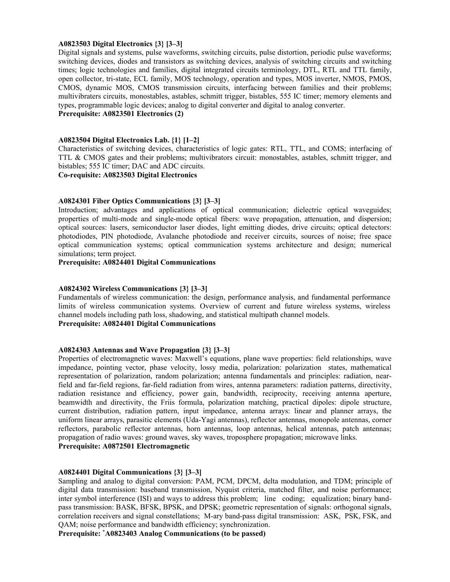#### **A0823503 Digital Electronics {3} [3–3]**

Digital signals and systems, pulse waveforms, switching circuits, pulse distortion, periodic pulse waveforms; switching devices, diodes and transistors as switching devices, analysis of switching circuits and switching times; logic technologies and families, digital integrated circuits terminology, DTL, RTL and TTL family, open collector, tri-state, ECL family, MOS technology, operation and types, MOS inverter, NMOS, PMOS, CMOS, dynamic MOS, CMOS transmission circuits, interfacing between families and their problems; multivibraters circuits, monostables, astables, schmitt trigger, bistables, 555 IC timer; memory elements and types, programmable logic devices; analog to digital converter and digital to analog converter.

**Prerequisite: A0823501 Electronics (2)** 

# **A0823504 Digital Electronics Lab. {1} [1–2]**

Characteristics of switching devices, characteristics of logic gates: RTL, TTL, and COMS; interfacing of TTL & CMOS gates and their problems; multivibrators circuit: monostables, astables, schmitt trigger, and bistables; 555 IC timer; DAC and ADC circuits.

#### **Co-requisite: A0823503 Digital Electronics**

## **A0824301 Fiber Optics Communications {3} [3–3]**

Introduction; advantages and applications of optical communication; dielectric optical waveguides; properties of multi -mode and single -mode optical fibers: wave propagation, attenuation, and dispersion; optical sources: lasers, semiconductor laser diodes, light emitting diodes, drive circuits; optical detectors: photodiodes, PIN photodiode, Avalanche photodiode and receiver circuits, sources of noise; free space optical communication systems; optical communication systems architecture and design; numerical simulations; term project.

# **Prerequisite: A0824401 Digital Communications**

# **A0824302 Wireless Communications {3} [3–3]**

Fundamentals of wireless communication: the design, performance analysis, and fundamental performance limits of wireless communication systems. Overview of current and future wireless systems, wireless channel models including path loss, shadowing, and statistical multipath channel models. **Prerequisite: A0824401 Digital Communications** 

## **A0824303 Antennas and Wave Propagation {3} [3–3]**

Properties of electromagnetic waves: Maxwell's equations, plane wave properties: field relationships, wave impedance, pointing vector, phase velocity, lossy media, polarization: polarization states, mathematical representation of polarization, random polarization; antenna fundamentals and principles: radiation, nearfield and far-field regions, far-field radiation from wires, antenna parameters: radiation patterns, directivity, radiation resistance and efficiency, power gain, bandwidth, reciprocity, receiving antenna aperture, beamwidth and directivity, the Friis formula, polarization matching, practical dipoles: dipole structure, current distribution, radiation pattern, input impedance, antenna arrays: linear and planner arrays, the uniform linear arrays, parasitic elements (Uda-Yagi antennas), reflector antennas, monopole antennas, corner reflectors, parabolic reflector antennas, horn antennas, loop antennas, helical antennas, patch antennas; propagation of radio waves: ground waves, sky waves, troposphere propagation; microwave links. **Prerequisite: A0872501 Electromagnetic** 

#### **A0824401 Digital Communications {3} [3–3]**

Sampling and analog to digital conversion: PAM, PCM, DPCM, delta modulation, and TDM; principle of digital data transmission: baseband transmission, Nyquist criteria, matched filter, and noise performance; inter symbol interference (ISI) and ways to address this problem; line coding; equalization; binary bandpass transmission: BASK, BFSK, BPSK, and DPSK; geometric representation of signals: orthogonal signals, correlation receivers and signal constellations; M-ary band-pass digital transmission: ASK, PSK, FSK, and QAM; noise performance and bandwidth efficiency; synchronization.

**Prerequisite: \* A0823403 Analog Communications (to be passed)**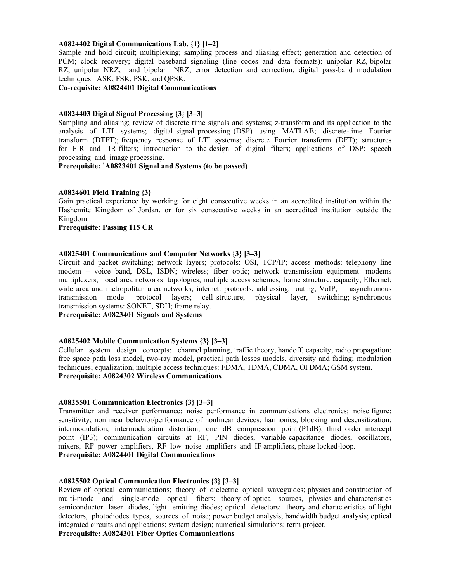### **A0824402 Digital Communications Lab. {1} [1–2]**

Sample and hold circuit; multiplexing; sampling process and aliasing effect; generation and detection of PCM; clock recovery; digital baseband signaling (line codes and data formats): unipolar RZ, bipolar RZ, unipolar NRZ, and bipolar NRZ; error detection and correction; digital pass-band modulation techniques: ASK, FSK, PSK, and QPSK.

**Co-requisite: A0824401 Digital Communications** 

#### **A0824403 Digital Signal Processing {3} [3–3]**

Sampling and aliasing; review of discrete time signals and systems; z-transform and its application to the analysis of LTI systems; digital signal processing (DSP) using MATLAB; discrete-time Fourier transform (DTFT); frequency response of LTI systems; discrete Fourier transform (DFT); structures for FIR and IIR filters; introduction to the design of digital filters; applications of DSP: speech processing and image processing.

### **Prerequisite: \* A0823401 Signal and Systems (to be passed)**

#### **A0824601 Field Training {3}**

Gain practical experience by working for eight consecutive weeks in an accredited institution within the Hashemite Kingdom of Jordan, or for six consecutive weeks in an accredited institution outside the Kingdom.

# **Prerequisite: Passing 115 CR**

#### **A0825401 Communications and Computer Networks {3} [3–3]**

Circuit and packet switching; network layers; protocols: OSI, TCP/IP; access methods: telephony line modem – voice band, DSL, ISDN; wireless; fiber optic; network transmission equipment: modems multiplexers, local area networks: topologies, multiple access schemes, frame structure, capacity; Ethernet; wide area and metropolitan area networks; internet: protocols, addressing; routing, VoIP; asynchronous transmission mode: protocol layers; cell structure; physical layer, switching; synchronous transmission systems: SONET, SDH; frame relay.

**Prerequisite: A0823401 Signals and Systems** 

#### **A0825402 Mobile Communication Systems {3} [3–3]**

Cellular system design concepts: channel planning, traffic theory, handoff, capacity; radio propagation: free space path loss model, two-ray model, practical path losses models, diversity and fading; modulation techniques; equalization; multiple access techniques: FDMA, TDMA, CDMA, OFDMA; GSM system. **Prerequisite: A0824302 Wireless Communications** 

#### **A0825501 Communication Electronics {3} [3–3]**

Transmitter and receiver performance; noise performance in communications electronics; noise figure; sensitivity; nonlinear behavior/performance of nonlinear devices; harmonics; blocking and desensitization; intermodulation, intermodulation distortion; one dB compression point (P1dB), third order intercept point (IP3); communication circuits at RF, PIN diodes, variable capacitance diodes, oscillators, mixers, RF power amplifiers, RF low noise amplifiers and IF amplifiers, phase locked-loop. **Prerequisite: A0824401 Digital Communications** 

#### A**0825502 Optical Communication Electronics {3} [3–3]**

Review of optical communications; theory of dielectric optical waveguides; physics and construction of multi-mode and single-mode optical fibers; theory of optical sources, physics and characteristics semiconductor laser diodes, light emitting diodes; optical detectors: theory and characteristics of light detectors, photodiodes types, sources of noise; power budget analysis; bandwidth budget analysis; optical integrated circuits and applications; system design; numerical simulations; term project.

**Prerequisite: A0824301 Fiber Optics Communications**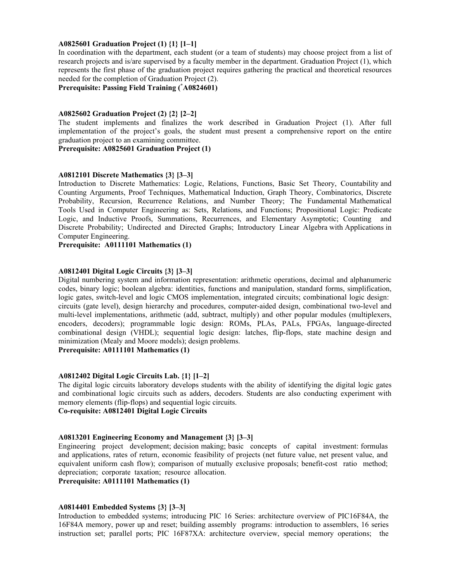# **A0825601 Graduation Project (1) {1} [1–1]**

In coordination with the department, each student (or a team of students) may choose project from a list of research projects and is/are supervised by a faculty member in the department. Graduation Project (1), which represents the first phase of the graduation project requires gathering the practical and theoretical resources needed for the completion of Graduation Project (2).

**Prerequisite: Passing Field Training (\* A0824601)** 

#### **A0825602 Graduation Project (2) {2} [2–2]**

The student implements and finalizes the work described in Graduation Project (1). After full implementation of the project's goals, the student must present a comprehensive report on the entire graduation project to an examining committee.

## **Prerequisite: A0825601 Graduation Project (1)**

# **A0812101 Discrete Mathematics {3} [3–3]**

Introduction to Discrete Mathematics: Logic, Relations, Functions, Basic Set Theory, Countability and Counting Arguments, Proof Techniques, Mathematical Induction, Graph Theory, Combinatorics, Discrete Probability, Recursion, Recurrence Relations, and Number Theory; The Fundamental Mathematical Tools Used in Computer Engineering as: Sets, Relations, and Functions; Propositional Logic: Predicate Logic, and Inductive Proofs, Summations, Recurrences, and Elementary Asymptotic; Counting and Discrete Probability; Undirected and Directed Graphs; Introductory Linear Algebra with Applications in Computer Engineering.

**Prerequisite: A0111101 Mathematics (1)** 

# **A0812401 Digital Logic Circuits {3} [3–3]**

Digital numbering system and information representation: arithmetic operations, decimal and alphanumeric codes, binary logic; boolean algebra: identities, functions and manipulation, standard forms, simplification, logic gates, switch-level and logic CMOS implementation, integrated circuits; combinational logic design: circuits (gate level), design hierarchy and procedures, computer-aided design, combinational two-level and multi-level implementations, arithmetic (add, subtract, multiply) and other popular modules (multiplexers, encoders, decoders); programmable logic design: ROMs, PLAs, PALs, FPGAs, language-directed combinational design (VHDL); sequential logic design: latches, flip-flops, state machine design and minimization (Mealy and Moore models); design problems.

**Prerequisite: A0111101 Mathematics (1)** 

#### **A0812402 Digital Logic Circuits Lab. {1} [1–2]**

The digital logic circuits laboratory develops students with the ability of identifying the digital logic gates and combinational logic circuits such as adders, decoders. Students are also conducting experiment with memory elements (flip-flops) and sequential logic circuits. **Co-requisite: A0812401 Digital Logic Circuits** 

# **A0813201 Engineering Economy and Management {3} [3–3]**

Engineering project development; decision making; basic concepts of capital investment: formulas and applications, rates of return, economic feasibility of projects (net future value, net present value, and equivalent uniform cash flow); comparison of mutually exclusive proposals; benefit-cost ratio method; depreciation; corporate taxation; resource allocation.

# **Prerequisite: A0111101 Mathematics (1)**

#### **A0814401 Embedded Systems {3} [3–3]**

Introduction to embedded systems; introducing PIC 16 Series: architecture overview of PIC16F84A, the 16F84A memory, power up and reset; building assembly programs: introduction to assemblers, 16 series instruction set; parallel ports; PIC 16F87XA: architecture overview, special memory operations; the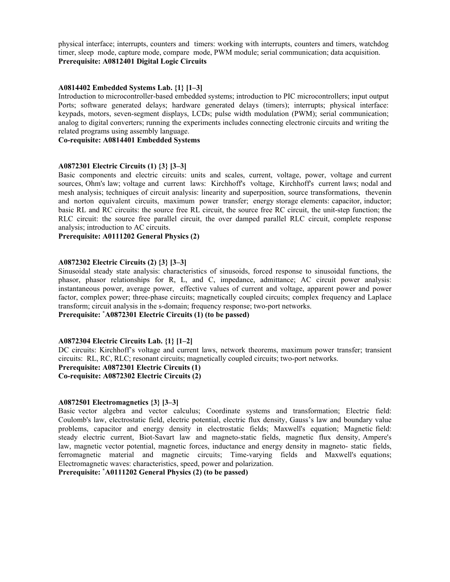physical interface; interrupts, counters and timers: working with interrupts, counters and timers, watchdog timer, sleep mode, capture mode, compare mode, PWM module; serial communication; data acquisition. **Prerequisite: A0812401 Digital Logic Circuits** 

## **A0814402 Embedded Systems Lab. {1} [1–3]**

Introduction to microcontroller-based embedded systems; introduction to PIC microcontrollers; input output Ports; software generated delays; hardware generated delays (timers); interrupts; physical interface: keypads, motors, seven-segment displays, LCDs; pulse width modulation (PWM); serial communication; analog to digital converters; running the experiments includes connecting electronic circuits and writing the related programs using assembly language.

**Co-requisite: A0814401 Embedded Systems** 

## **A0872301 Electric Circuits (1) {3} [3–3]**

Basic components and electric circuits: units and scales, current, voltage, power, voltage and current sources, Ohm's law; voltage and current laws: Kirchhoff's voltage, Kirchhoff's current laws; nodal and mesh analysis; techniques of circuit analysis: linearity and superposition, source transformations, thevenin and norton equivalent circuits, maximum power transfer; energy storage elements: capacitor, inductor; basic RL and RC circuits: the source free RL circuit, the source free RC circuit, the unit-step function; the RLC circuit: the source free parallel circuit, the over damped parallel RLC circuit, complete response analysis; introduction to AC circuits.

**Prerequisite: A0111202 General Physics (2)** 

# **A0872302 Electric Circuits (2) {3} [3–3]**

Sinusoidal steady state analysis: characteristics of sinusoids, forced response to sinusoidal functions, the phasor, phasor relationships for R, L, and C, impedance, admittance; AC circuit power analysis: instantaneous power, average power, effective values of current and voltage, apparent power and power factor, complex power; three-phase circuits; magnetically coupled circuits; complex frequency and Laplace transform; circuit analysis in the s-domain; frequency response; two-port networks.

**Prerequisite: \* A0872301 Electric Circuits (1) (to be passed)** 

#### **A0872304 Electric Circuits Lab. {1} [1–2]**

DC circuits: Kirchhoff's voltage and current laws, network theorems, maximum power transfer; transient circuits: RL, RC, RLC; resonant circuits; magnetically coupled circuits; two-port networks. **Prerequisite: A0872301 Electric Circuits (1)** 

**Co-requisite: A0872302 Electric Circuits (2)** 

#### **A0872501 Electromagnetics {3} [3–3]**

Basic vector algebra and vector calculus; Coordinate systems and transformation; Electric field: Coulomb's law, electrostatic field, electric potential, electric flux density, Gauss's law and boundary value problems, capacitor and energy density in electrostatic fields; Maxwell's equation; Magnetic field: steady electric current, Biot-Savart law and magneto-static fields, magnetic flux density, Ampere's law, magnetic vector potential, magnetic forces, inductance and energy density in magneto- static fields, ferromagnetic material and magnetic circuits; Time-varying fields and Maxwell's equations; Electromagnetic waves: characteristics, speed, power and polarization.

**Prerequisite: \* A0111202 General Physics (2) (to be passed)**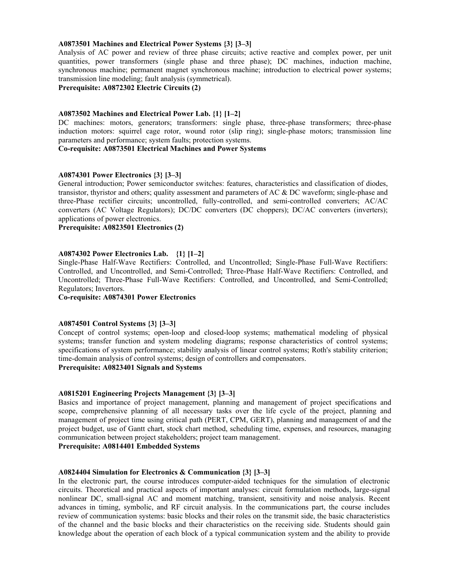### **A0873501 Machines and Electrical Power Systems {3} [3–3]**

Analysis of AC power and review of three phase circuits; active reactive and complex power, per unit quantities, power transformers (single phase and three phase); DC machines, induction machine, synchronous machine; permanent magnet synchronous machine; introduction to electrical power systems; transmission line modeling; fault analysis (symmetrical).

**Prerequisite: A0872302 Electric Circuits (2)** 

#### **A0873502 Machines and Electrical Power Lab. {1} [1–2]**

DC machines: motors, generators; transformers: single phase, three-phase transformers; three-phase induction motors: squirrel cage rotor, wound rotor (slip ring); single-phase motors; transmission line parameters and performance; system faults; protection systems.

# **Co-requisite: A0873501 Electrical Machines and Power Systems**

# **A0874301 Power Electronics {3} [3–3]**

General introduction; Power semiconductor switches: features, characteristics and classification of diodes, transistor, thyristor and others; quality assessment and parameters of AC & DC waveform; single-phase and three-Phase rectifier circuits; uncontrolled, fully-controlled, and semi-controlled converters; AC/AC converters (AC Voltage Regulators); DC/DC converters (DC choppers); DC/AC converters (inverters); applications of power electronics.

**Prerequisite: A0823501 Electronics (2)** 

# **A0874302 Power Electronics Lab. {1} [1–2]**

Single-Phase Half-Wave Rectifiers: Controlled, and Uncontrolled; Single-Phase Full-Wave Rectifiers: Controlled, and Uncontrolled, and Semi-Controlled; Three-Phase Half-Wave Rectifiers: Controlled, and Uncontrolled; Three-Phase Full-Wave Rectifiers: Controlled, and Uncontrolled, and Semi-Controlled; Regulators; Invertors.

#### **Co-requisite: A0874301 Power Electronics**

#### **A0874501 Control Systems {3} [3–3]**

Concept of control systems; open-loop and closed-loop systems; mathematical modeling of physical systems; transfer function and system modeling diagrams; response characteristics of control systems; specifications of system performance; stability analysis of linear control systems; Roth's stability criterion; time-domain analysis of control systems; design of controllers and compensators.

# **Prerequisite: A0823401 Signals and Systems**

## **A0815201 Engineering Projects Management {3} [3–3]**

Basics and importance of project management, planning and management of project specifications and scope, comprehensive planning of all necessary tasks over the life cycle of the project, planning and management of project time using critical path (PERT, CPM, GERT), planning and management of and the project budget, use of Gantt chart, stock chart method, scheduling time, expenses, and resources, managing communication between project stakeholders; project team management.

#### **Prerequisite: A0814401 Embedded Systems**

# **A0824404 Simulation for Electronics & Communication {3} [3–3]**

In the electronic part, the course introduces computer-aided techniques for the simulation of electronic circuits. Theoretical and practical aspects of important analyses: circuit formulation methods, large-signal nonlinear DC, small-signal AC and moment matching, transient, sensitivity and noise analysis. Recent advances in timing, symbolic, and RF circuit analysis. In the communications part, the course includes review of communication systems: basic blocks and their roles on the transmit side, the basic characteristics of the channel and the basic blocks and their characteristics on the receiving side. Students should gain knowledge about the operation of each block of a typical communication system and the ability to provide